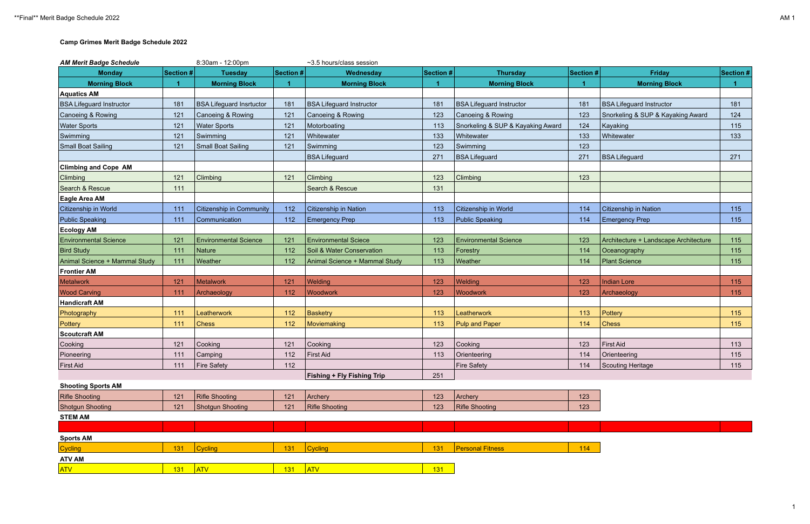## **Camp Grimes Merit Badge Schedule 2022**

| <b>AM Merit Badge Schedule</b><br>8:30am - 12:00pm |                  |                                 |           | ~3.5 hours/class session          |           |                                   |                  |                                       |                  |
|----------------------------------------------------|------------------|---------------------------------|-----------|-----------------------------------|-----------|-----------------------------------|------------------|---------------------------------------|------------------|
| <b>Monday</b>                                      | <b>Section #</b> | <b>Tuesday</b>                  | Section # | Wednesday                         | Section # | <b>Thursday</b>                   | <b>Section #</b> | <b>Friday</b>                         | <b>Section #</b> |
| <b>Morning Block</b>                               |                  | <b>Morning Block</b>            |           | <b>Morning Block</b>              |           | <b>Morning Block</b>              |                  | <b>Morning Block</b>                  |                  |
| <b>Aquatics AM</b>                                 |                  |                                 |           |                                   |           |                                   |                  |                                       |                  |
| <b>BSA Lifeguard Instructor</b>                    | 181              | <b>BSA Lifeguard Insrtuctor</b> | 181       | <b>BSA Lifeguard Instructor</b>   | 181       | <b>BSA Lifeguard Instructor</b>   |                  | <b>BSA Lifeguard Instructor</b>       | 181              |
| Canoeing & Rowing                                  | 121              | Canoeing & Rowing               | 121       | Canoeing & Rowing                 | 123       | Canoeing & Rowing                 | 123              | Snorkeling & SUP & Kayaking Award     | 124              |
| <b>Water Sports</b>                                | 121              | <b>Water Sports</b>             | 121       | Motorboating                      | 113       | Snorkeling & SUP & Kayaking Award | 124              | Kayaking                              | 115              |
| Swimming                                           | 121              | Swimming                        | 121       | Whitewater                        | 133       | Whitewater                        | 133              | Whitewater                            | 133              |
| <b>Small Boat Sailing</b>                          | 121              | <b>Small Boat Sailing</b>       | 121       | Swimming                          | 123       | Swimming                          | 123              |                                       |                  |
|                                                    |                  |                                 |           | <b>BSA Lifeguard</b>              | 271       | <b>BSA Lifeguard</b>              | 271              | <b>BSA Lifeguard</b>                  | 271              |
| <b>Climbing and Cope AM</b>                        |                  |                                 |           |                                   |           |                                   |                  |                                       |                  |
| Climbing                                           | 121              | Climbing                        | 121       | Climbing                          | 123       | Climbing                          | 123              |                                       |                  |
| Search & Rescue                                    | 111              |                                 |           | Search & Rescue                   | 131       |                                   |                  |                                       |                  |
| Eagle Area AM                                      |                  |                                 |           |                                   |           |                                   |                  |                                       |                  |
| Citizenship in World                               | 111              | Citizenship in Community        | 112       | Citizenship in Nation             | 113       | Citizenship in World              | 114              | Citizenship in Nation                 | 115              |
| <b>Public Speaking</b>                             | 111              | Communication                   | 112       | <b>Emergency Prep</b>             | 113       | <b>Public Speaking</b>            | 114              | <b>Emergency Prep</b>                 | 115              |
| <b>Ecology AM</b>                                  |                  |                                 |           |                                   |           |                                   |                  |                                       |                  |
| <b>Environmental Science</b>                       | 121              | <b>Environmental Science</b>    | 121       | <b>Environmental Sciece</b>       | 123       | <b>Environmental Science</b>      | 123              | Architecture + Landscape Architecture | 115              |
| <b>Bird Study</b>                                  | 111              | Nature                          | 112       | Soil & Water Conservation         | 113       | Forestry                          | 114              | Oceanography                          | 115              |
| Animal Science + Mammal Study                      | 111              | Weather                         | 112       | Animal Science + Mammal Study     | 113       | Weather                           | 114              | <b>Plant Science</b>                  | 115              |
| <b>Frontier AM</b>                                 |                  |                                 |           |                                   |           |                                   |                  |                                       |                  |
| <b>Metalwork</b>                                   | 121              | <b>Metalwork</b>                | 121       | <b>Welding</b>                    | 123       | Welding                           | 123              | <b>Indian Lore</b>                    | 115              |
| <b>Wood Carving</b>                                | 111              | Archaeology                     | 112       | Woodwork                          | 123       | Woodwork                          | 123              | Archaeology                           | 115              |
| <b>Handicraft AM</b>                               |                  |                                 |           |                                   |           |                                   |                  |                                       |                  |
| Photography                                        | 111              | Leatherwork                     | 112       | <b>Basketry</b>                   | 113       | Leatherwork                       | 113              | <b>Pottery</b>                        | 115              |
| Pottery                                            | 111              | <b>Chess</b>                    | 112       | Moviemaking                       | 113       | <b>Pulp and Paper</b>             | 114              | <b>Chess</b>                          | 115              |
| <b>Scoutcraft AM</b>                               |                  |                                 |           |                                   |           |                                   |                  |                                       |                  |
| Cooking                                            | 121              | Cooking                         | 121       | Cooking                           | 123       | Cooking                           | 123              | <b>First Aid</b>                      | 113              |
| Pioneering                                         | 111              | Camping                         | 112       | <b>First Aid</b>                  | 113       | Orienteering                      | 114              | Orienteering                          | 115              |
| <b>First Aid</b>                                   | 111              | <b>Fire Safety</b>              | 112       |                                   |           | <b>Fire Safety</b>                | 114              | Scouting Heritage                     | 115              |
|                                                    |                  |                                 |           | <b>Fishing + Fly Fishing Trip</b> | 251       |                                   |                  |                                       |                  |
| <b>Shooting Sports AM</b>                          |                  |                                 |           |                                   |           |                                   |                  |                                       |                  |
| <b>Rifle Shooting</b>                              | 121              | <b>Rifle Shooting</b>           | 121       | Archery                           | 123       | Archery                           | 123              |                                       |                  |
| <b>Shotgun Shooting</b>                            | 121              | Shotgun Shooting                | 121       | <b>Rifle Shooting</b>             | 123       | <b>Rifle Shooting</b>             | 123              |                                       |                  |
| <b>STEM AM</b>                                     |                  |                                 |           |                                   |           |                                   |                  |                                       |                  |
|                                                    |                  |                                 |           |                                   |           |                                   |                  |                                       |                  |
| <b>Sports AM</b>                                   |                  |                                 |           |                                   |           |                                   |                  |                                       |                  |
| Cycling                                            | 131              | $\overline{\big }$ Cycling      | 131       | $\sqrt{\text{Cycling}}$           | 131       | <b>Personal Fitness</b>           | 114              |                                       |                  |
| <b>ATV AM</b>                                      |                  |                                 |           |                                   |           |                                   |                  |                                       |                  |
| <b>ATV</b>                                         | 131              | $\overline{ATV}$                | 131       | $\overline{ATV}$                  | 131       |                                   |                  |                                       |                  |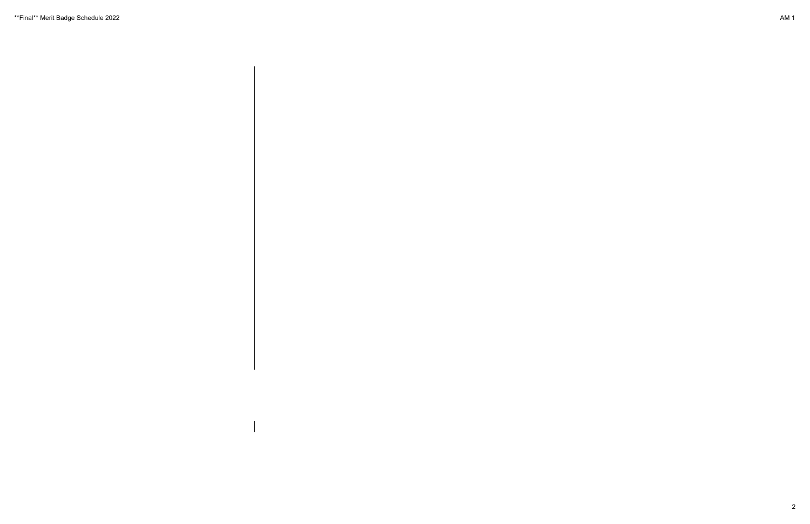\*\*Final\*\* Merit Badge Schedule 2022

AM<sub>1</sub>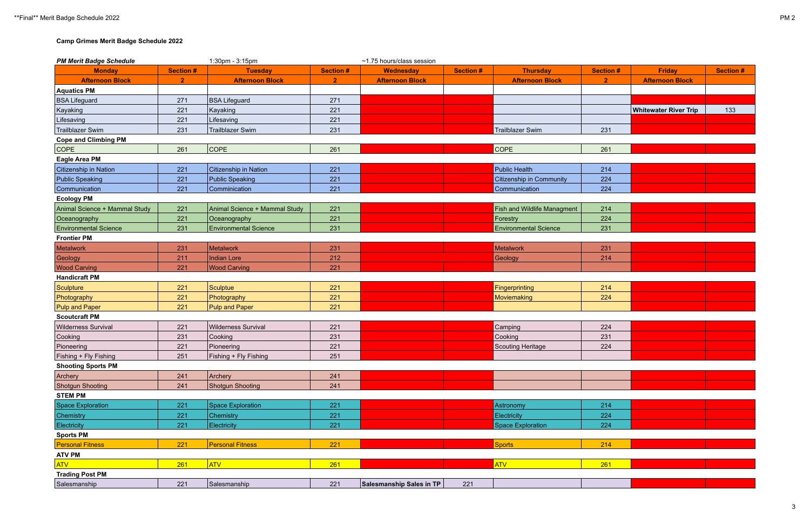## **Camp Grimes Merit Badge Schedule 2022**

| <b>PM Merit Badge Schedule</b> |                 | $1:30$ pm - $3:15$ pm         |                 | ~1.75 hours/class session           |                                    |                  |                              |                 |
|--------------------------------|-----------------|-------------------------------|-----------------|-------------------------------------|------------------------------------|------------------|------------------------------|-----------------|
| <b>Monday</b>                  | <b>Section#</b> | <b>Tuesday</b>                | <b>Section#</b> | <b>Wednesday</b><br><b>Section#</b> | <b>Thursday</b>                    | <b>Section #</b> | <b>Friday</b>                | <b>Section#</b> |
| <b>Afternoon Block</b>         | $\mathbf{2}$    | <b>Afternoon Block</b>        | $\mathbf{2}$    | <b>Afternoon Block</b>              | <b>Afternoon Block</b>             | $\overline{2}$   | <b>Afternoon Block</b>       |                 |
| <b>Aquatics PM</b>             |                 |                               |                 |                                     |                                    |                  |                              |                 |
| <b>BSA Lifeguard</b>           | 271             | <b>BSA Lifeguard</b>          | 271             |                                     |                                    |                  |                              |                 |
| Kayaking                       | 221             | Kayaking                      | 221             |                                     |                                    |                  | <b>Whitewater River Trip</b> | 133             |
| Lifesaving                     | 221             | Lifesaving                    | 221             |                                     |                                    |                  |                              |                 |
| Trailblazer Swim               | 231             | <b>Trailblazer Swim</b>       | 231             |                                     | <b>Trailblazer Swim</b>            | 231              |                              |                 |
| <b>Cope and Climbing PM</b>    |                 |                               |                 |                                     |                                    |                  |                              |                 |
| <b>COPE</b>                    | 261             | COPE                          | 261             |                                     | <b>COPE</b>                        | 261              |                              |                 |
| Eagle Area PM                  |                 |                               |                 |                                     |                                    |                  |                              |                 |
| Citizenship in Nation          | 221             | Citizenship in Nation         | 221             |                                     | Public Health                      | 214              |                              |                 |
| <b>Public Speaking</b>         | 221             | <b>Public Speaking</b>        | 221             |                                     | <b>Citizenship in Community</b>    | 224              |                              |                 |
| Communication                  | 221             | Comminication                 | 221             |                                     | Communication                      | 224              |                              |                 |
| <b>Ecology PM</b>              |                 |                               |                 |                                     |                                    |                  |                              |                 |
| Animal Science + Mammal Study  | 221             | Animal Science + Mammal Study | 221             |                                     | <b>Fish and Wildlife Managment</b> | 214              |                              |                 |
| Oceanography                   | 221             | Oceanography                  | 221             |                                     | Forestry                           | 224              |                              |                 |
| <b>Environmental Science</b>   | 231             | <b>Environmental Science</b>  | 231             |                                     | <b>Environmental Science</b>       | 231              |                              |                 |
| <b>Frontier PM</b>             |                 |                               |                 |                                     |                                    |                  |                              |                 |
| <b>Metalwork</b>               | 231             | <b>Metalwork</b>              | 231             |                                     | Metalwork                          | 231              |                              |                 |
| Geology                        | 211             | <b>Indian Lore</b>            | 212             |                                     | Geology                            | 214              |                              |                 |
| <b>Wood Carving</b>            | 221             | <b>Wood Carving</b>           | 221             |                                     |                                    |                  |                              |                 |
| <b>Handicraft PM</b>           |                 |                               |                 |                                     |                                    |                  |                              |                 |
| Sculpture                      | 221             | Sculptue                      | 221             |                                     | Fingerprinting                     | 214              |                              |                 |
| Photography                    | 221             | Photography                   | 221             |                                     | Moviemaking                        | 224              |                              |                 |
| <b>Pulp and Paper</b>          | 221             | <b>Pulp and Paper</b>         | 221             |                                     |                                    |                  |                              |                 |
| <b>Scoutcraft PM</b>           |                 |                               |                 |                                     |                                    |                  |                              |                 |
| <b>Wilderness Survival</b>     | 221             | Wilderness Survival           | 221             |                                     | Camping                            | 224              |                              |                 |
| Cooking                        | 231             | Cooking                       | 231             |                                     | Cooking                            | 231              |                              |                 |
| Pioneering                     | 221             | Pioneering                    | 221             |                                     | <b>Scouting Heritage</b>           | 224              |                              |                 |
| <b>Fishing + Fly Fishing</b>   | 251             | <b>Fishing + Fly Fishing</b>  | 251             |                                     |                                    |                  |                              |                 |
| <b>Shooting Sports PM</b>      |                 |                               |                 |                                     |                                    |                  |                              |                 |
| Archery                        | 241             | Archery                       | 241             |                                     |                                    |                  |                              |                 |
| <b>Shotgun Shooting</b>        | 241             | Shotgun Shooting              | 241             |                                     |                                    |                  |                              |                 |
| <b>STEM PM</b>                 |                 |                               |                 |                                     |                                    |                  |                              |                 |
| Space Exploration              | 221             | Space Exploration             | 221             |                                     | Astronomy                          | 214              |                              |                 |
| Chemistry                      | 221             | <b>Chemistry</b>              | 221             |                                     | Electricity                        | 224              |                              |                 |
| Electricity                    | 221             | Electricity                   | 221             |                                     | Space Exploration                  | 224              |                              |                 |
| <b>Sports PM</b>               |                 |                               |                 |                                     |                                    |                  |                              |                 |
| <b>Personal Fitness</b>        | 221             | <b>Personal Fitness</b>       | 221             |                                     | <b>Sports</b>                      | 214              |                              |                 |
| <b>ATV PM</b>                  |                 |                               |                 |                                     |                                    |                  |                              |                 |
| <b>ATV</b>                     | 261             | <b>ATV</b>                    | 261             |                                     | <b>ATV</b>                         | 261              |                              |                 |
| <b>Trading Post PM</b>         |                 |                               |                 |                                     |                                    |                  |                              |                 |
| Salesmanship                   | 221             | Salesmanship                  | 221             | Salesmanship Sales in TP<br>221     |                                    |                  |                              |                 |